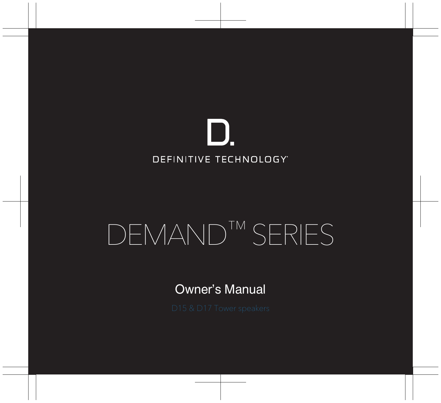

# DEMAND™ SERIES

Owner's Manual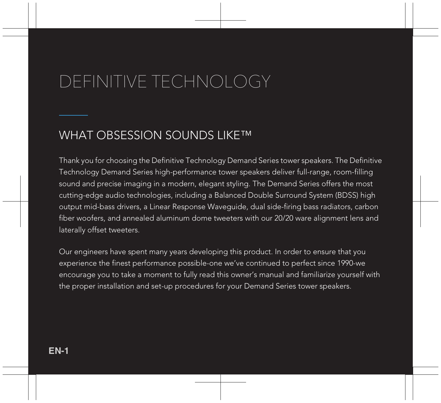## DEFINITIVE TECHNOLOGY

### WHAT OBSESSION SOUNDS LIKE™

Thank you for choosing the Definitive Technology Demand Series tower speakers. The Definitive Technology Demand Series high-performance tower speakers deliver full-range, room-filling sound and precise imaging in a modern, elegant styling. The Demand Series offers the most cutting-edge audio technologies, including a Balanced Double Surround System (BDSS) high output mid-bass drivers, a Linear Response Waveguide, dual side-firing bass radiators, carbon fiber woofers, and annealed aluminum dome tweeters with our 20/20 ware alignment lens and laterally offset tweeters.

Our engineers have spent many years developing this product. In order to ensure that you experience the finest performance possible-one we've continued to perfect since 1990-we encourage you to take a moment to fully read this owner's manual and familiarize yourself with the proper installation and set-up procedures for your Demand Series tower speakers.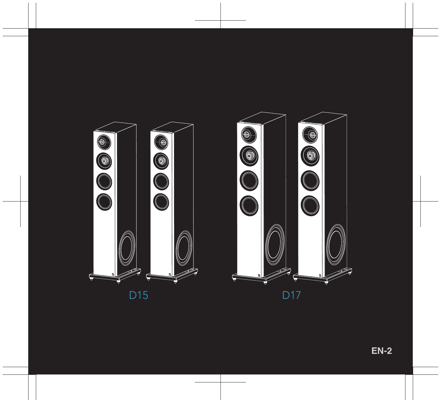

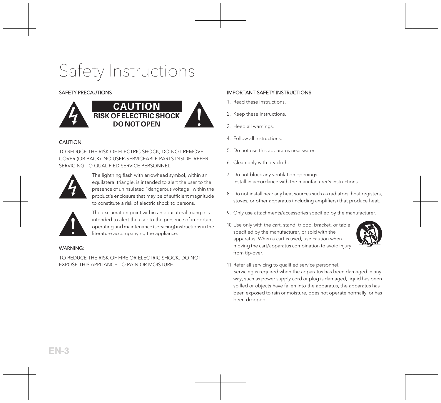## Safety Instructions

#### SAFETY PRECAUTIONS



#### CAUTION:

TO REDUCE THE RISK OF ELECTRIC SHOCK, DO NOT REMOVE COVER (OR BACK). NO USER-SERVICEABLE PARTS INSIDE. REFER SERVICING TO OUALIFIED SERVICE PERSONNEL.



The lightning flash with arrowhead symbol, within an equilateral triangle, is intended to alert the user to the presence of uninsulated "dangerous voltage" within the product's enclosure that may be of sufficient magnitude to constitute a risk of electric shock to persons.



The exclamation point within an equilateral triangle is intended to alert the user to the presence of important operating and maintenance (servicing) instructions in the literature accompanying the appliance.

#### WARNING:

TO REDUCE THE RISK OF FIRE OR ELECTRIC SHOCK, DO NOT EXPOSE THIS APPLIANCE TO RAIN OR MOISTURE.

#### IMPORTANT SAFETY INSTRUCTIONS

- 1. Read these instructions.
- 2. Keep these instructions.
- 3. Heed all warnings.

been dropped.

- 4. Follow all instructions.
- 5. Do not use this apparatus near water.
- 6. Clean only with dry cloth.
- 7. Do not block any ventilation openings. Install in accordance with the manufacturer's instructions.
- 8. Do not install near any heat sources such as radiators, heat registers, stoves, or other apparatus (including amplifiers) that produce heat.
- 9. Only use attachments/accessories specified by the manufacturer.
- 10. Use only with the cart, stand, tripod, bracket, or table specified by the manufacturer, or sold with the apparatus. When a cart is used, use caution when moving the cart/apparatus combination to avoid injury from tip-over.



11. Refer all servicing to qualified service personnel. Servicing is required when the apparatus has been damaged in any way, such as power supply cord or plug is damaged, liquid has been spilled or objects have fallen into the apparatus, the apparatus has been exposed to rain or moisture, does not operate normally, or has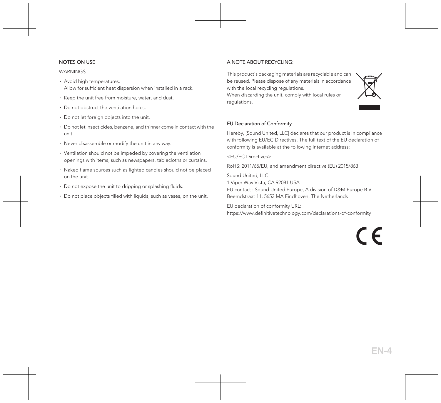#### NOTES ON USE

#### **WARNINGS**

- ∙ Avoid high temperatures. Allow for sufficient heat dispersion when installed in a rack.
- ∙ Keep the unit free from moisture, water, and dust.
- ∙ Do not obstruct the ventilation holes.
- ∙ Do not let foreign objects into the unit.
- ∙ Do not let insecticides, benzene, and thinner come in contact with the unit.
- ∙ Never disassemble or modify the unit in any way.
- ∙ Ventilation should not be impeded by covering the ventilation openings with items, such as newspapers, tablecloths or curtains.
- ∙ Naked flame sources such as lighted candles should not be placed on the unit.
- ∙ Do not expose the unit to dripping or splashing fluids.
- ∙ Do not place objects filled with liquids, such as vases, on the unit.

#### A NOTE ABOUT RECYCLING:

This product's packaging materials are recyclable and can be reused. Please dispose of any materials in accordance with the local recycling regulations.

When discarding the unit, comply with local rules or regulations.

#### EU Declaration of Conformity

Hereby, [Sound United, LLC] declares that our product is in compliance with following EU/EC Directives. The full text of the EU declaration of conformity is available at the following internet address:

<EU/EC Directives>

RoHS: 2011/65/EU, and amendment directive (EU) 2015/863

Sound United, LLC

1 Viper Way Vista, CA 92081 USA

EU contact : Sound United Europe, A division of D&M Europe B.V. Beemdstraat 11, 5653 MA Eindhoven, The Netherlands

EU declaration of conformity URL: <https://www.definitivetechnology.com/declarations-of-conformity>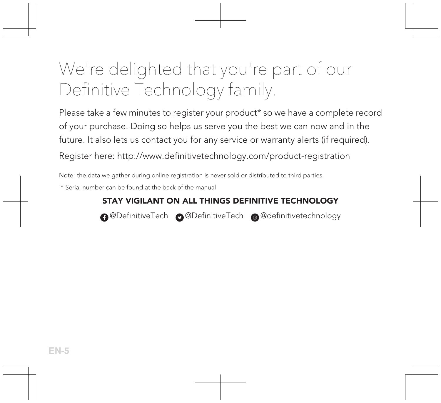## We're delighted that you're part of our Definitive Technology family.

Please take a few minutes to register your product\* so we have a complete record of your purchase. Doing so helps us serve you the best we can now and in the future. It also lets us contact you for any service or warranty alerts (if required).

Register here: <http://www.definitivetechnology.com/product-registration>

Note: the data we gather during online registration is never sold or distributed to third parties.

\* Serial number can be found at the back of the manual

#### STAY VIGILANT ON ALL THINGS DEFINITIVE TECHNOLOGY

**A** @DefinitiveTech **@** @DefinitiveTech @ @definitivetechnology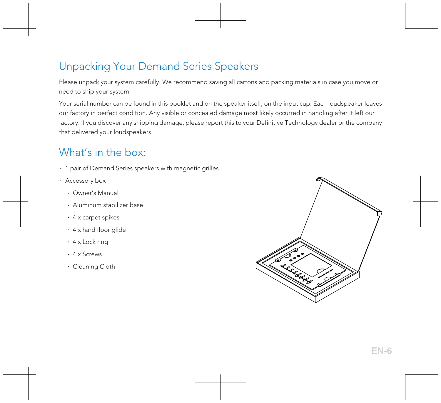### Unpacking Your Demand Series Speakers

Please unpack your system carefully. We recommend saving all cartons and packing materials in case you move or need to ship your system.

Your serial number can be found in this booklet and on the speaker itself, on the input cup. Each loudspeaker leaves our factory in perfect condition. Any visible or concealed damage most likely occurred in handling after it left our factory. If you discover any shipping damage, please report this to your Definitive Technology dealer or the company that delivered your loudspeakers.

### What's in the box:

- ∙ 1 pair of Demand Series speakers with magnetic grilles
- ∙ Accessory box
	- ∙ Owner's Manual
	- ∙ Aluminum stabilizer base
	- ∙ 4 x carpet spikes
	- ∙ 4 x hard floor glide
	- ∙ 4 x Lock ring
	- ∙ 4 x Screws
	- ∙ Cleaning Cloth

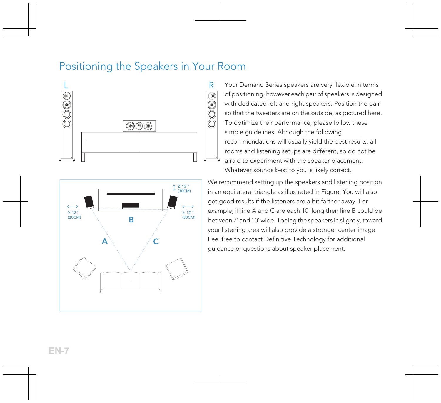#### Positioning the Speakers in Your Room





Your Demand Series speakers are very flexible in terms of positioning, however each pair of speakers is designed with dedicated left and right speakers. Position the pair so that the tweeters are on the outside, as pictured here. To optimize their performance, please follow these simple quidelines. Although the following recommendations will usually yield the best results, all rooms and listening setups are different, so do not be afraid to experiment with the speaker placement. Whatever sounds best to you is likely correct.

We recommend setting up the speakers and listening position in an equilateral triangle as illustrated in Figure. You will also get good results if the listeners are a bit farther away. For example, if line A and C are each 10' long then line B could be between 7' and 10' wide. Toeing the speakers in slightly, toward your listening area will also provide a stronger center image. Feel free to contact Definitive Technology for additional guidance or questions about speaker placement.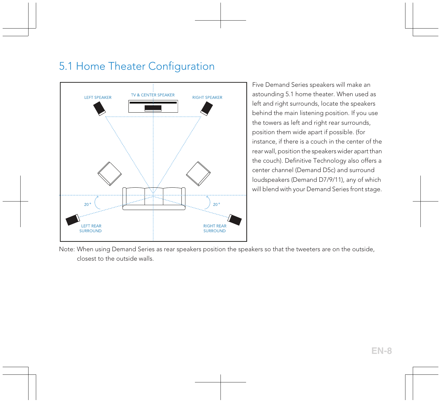### 5.1 Home Theater Configuration



Five Demand Series speakers will make an astounding 5.1 home theater. When used as left and right surrounds, locate the speakers behind the main listening position. If you use the towers as left and right rear surrounds, position them wide apart if possible. (for instance, if there is a couch in the center of the rear wall, position the speakers wider apart than the couch). Definitive Technology also offers a center channel (Demand D5c) and surround loudspeakers (Demand D7/9/11), any of which will blend with your Demand Series front stage.

Note: When using Demand Series as rear speakers position the speakers so that the tweeters are on the outside, closest to the outside walls.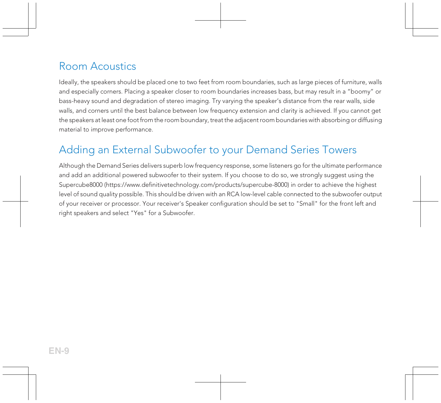### Room Acoustics

Ideally, the speakers should be placed one to two feet from room boundaries, such as large pieces of furniture, walls and especially corners. Placing a speaker closer to room boundaries increases bass, but may result in a "boomy" or bass-heavy sound and degradation of stereo imaging. Try varying the speaker's distance from the rear walls, side walls, and corners until the best balance between low frequency extension and clarity is achieved. If you cannot get the speakers at least one foot from the room boundary, treat the adjacent room boundaries with absorbing or diffusing material to improve performance.

### Adding an External Subwoofer to your Demand Series Towers

Although the Demand Series delivers superb low frequency response, some listeners go for the ultimate performance and add an additional powered subwoofer to their system. If you choose to do so, we strongly suggest using the Supercube8000 [\(https://www.definitivetechnology.com/products/supercube-8000](https://www.definitivetechnology.com/products/supercube-8000)) in order to achieve the highest level of sound quality possible. This should be driven with an RCA low-level cable connected to the subwoofer output of your receiver or processor. Your receiver's Speaker configuration should be set to "Small" for the front left and right speakers and select "Yes" for a Subwoofer.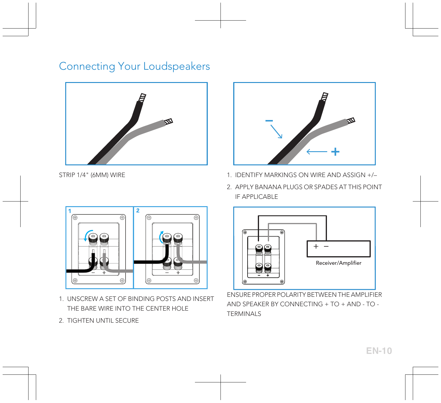### Connecting Your Loudspeakers





- STRIP 1/4" (6MM) WIRE 1. IDENTIFY MARKINGS ON WIRE AND ASSIGN +/-
	- 2. APPLY BANANA PLUGS OR SPADES AT THIS POINT IF APPLICABLE



- 1. UNSCREW A SET OF BINDING POSTS AND INSERT THE BARE WIRE INTO THE CENTER HOLE
- 2. TIGHTEN UNTIL SECURE



ENSURE PROPER POLARITY BETWEEN THE AMPLIFIER AND SPEAKER BY CONNECTING + TO + AND - TO - TERMINALS

**EN-10**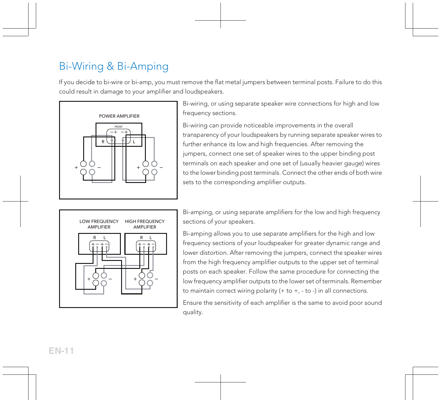### Bi-Wiring & Bi-Amping

If you decide to bi-wire or bi-amp, you must remove the flat metal jumpers between terminal posts. Failure to do this could result in damage to your amplifier and loudspeakers.



Bi-wiring, or using separate speaker wire connections for high and low frequency sections.

Bi-wiring can provide noticeable improvements in the overall transparency of your loudspeakers by running separate speaker wires to further enhance its low and high frequencies. After removing the jumpers, connect one set of speaker wires to the upper binding post terminals on each speaker and one set of (usually heavier gauge) wires to the lower binding post terminals. Connect the other ends of both wire sets to the corresponding amplifier outputs.



Bi-amping, or using separate amplifiers for the low and high frequency sections of your speakers.

Bi-amping allows you to use separate amplifiers for the high and low frequency sections of your loudspeaker for greater dynamic range and lower distortion. After removing the jumpers, connect the speaker wires from the high frequency amplifier outputs to the upper set of terminal posts on each speaker. Follow the same procedure for connecting the low frequency amplifier outputs to the lower set of terminals. Remember to maintain correct wiring polarity  $(+ to +, -to -)$  in all connections.

Ensure the sensitivity of each amplifier is the same to avoid poor sound quality.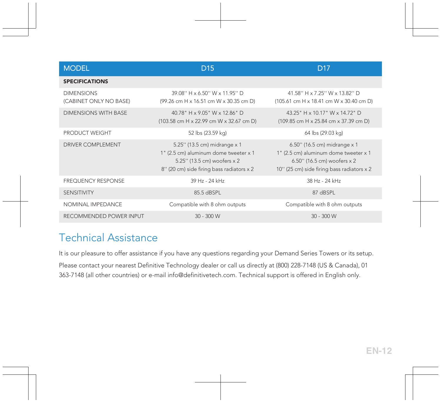| <b>MODEL</b>                                | D <sub>15</sub>                                                                                                                                   | D <sub>17</sub>                                                                                                                                    |
|---------------------------------------------|---------------------------------------------------------------------------------------------------------------------------------------------------|----------------------------------------------------------------------------------------------------------------------------------------------------|
| <b>SPECIFICATIONS</b>                       |                                                                                                                                                   |                                                                                                                                                    |
| <b>DIMENSIONS</b><br>(CABINET ONLY NO BASE) | 39 08" H x 6 50" W x 11 95" D<br>(99.26 cm H x 16.51 cm W x 30.35 cm D)                                                                           | 41 58" H x 7 25" W x 13 82" D<br>(105.61 cm H x 18.41 cm W x 30.40 cm D)                                                                           |
| <b>DIMENSIONS WITH BASE</b>                 | 40.78" H x 9.05" W x 12.86" D<br>(103.58 cm H x 22.99 cm W x 32.67 cm D)                                                                          | 43.25" H x 10.17" W x 14.72" D<br>(109.85 cm H x 25.84 cm x 37.39 cm D)                                                                            |
| PRODUCT WEIGHT                              | 52 lbs (23.59 kg)                                                                                                                                 | 64 lbs (29.03 kg)                                                                                                                                  |
| <b>DRIVER COMPLEMENT</b>                    | 5.25" (13.5 cm) midrange x 1<br>1" (2.5 cm) aluminum dome tweeter x 1<br>5.25" (13.5 cm) woofers x 2<br>8" (20 cm) side firing bass radiators x 2 | 6.50" (16.5 cm) midrange x 1<br>1" (2.5 cm) aluminum dome tweeter x 1<br>6.50" (16.5 cm) woofers x 2<br>10" (25 cm) side firing bass radiators x 2 |
| <b>FREQUENCY RESPONSE</b>                   | 39 Hz - 24 kHz                                                                                                                                    | 38 Hz - 24 kHz                                                                                                                                     |
| <b>SENSITIVITY</b>                          | 85.5 dBSPL                                                                                                                                        | 87 dBSPL                                                                                                                                           |
| NOMINAL IMPEDANCE                           | Compatible with 8 ohm outputs                                                                                                                     | Compatible with 8 ohm outputs                                                                                                                      |
| RECOMMENDED POWER INPUT                     | $30 - 300$ W                                                                                                                                      | $30 - 300$ W                                                                                                                                       |

### Technical Assistance

It is our pleasure to offer assistance if you have any questions regarding your Demand Series Towers or its setup. Please contact your nearest Definitive Technology dealer or call us directly at (800) 228-7148 (US & Canada), 01 363-7148 (all other countries) or e-mail info@definitivetech.com. Technical support is offered in English only.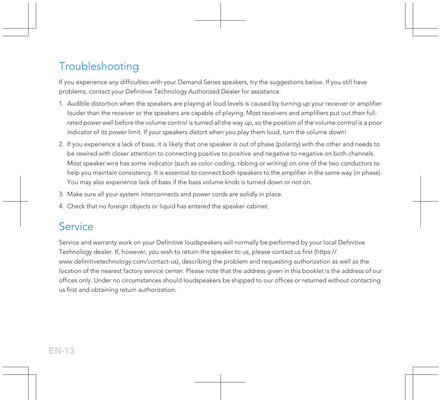### Troubleshooting

If you experience any difficulties with your Demand Series speakers, try the suggestions below. If you still have problems, contact your Definitive Technology Authorized Dealer for assistance.

- 1. Audible distortion when the speakers are playing at loud levels is caused by turning up your receiver or amplifier louder than the receiver or the speakers are capable of playing. Most receivers and amplifiers put out their fullrated power well before the volume control is turned all the way up, so the position of the volume control is a poor indicator of its power limit. If your speakers distort when you play them loud, turn the volume down!
- 2. If you experience a lack of bass, it is likely that one speaker is out of phase (polarity) with the other and needs to be rewired with closer attention to connecting positive to positive and negative to negative on both channels. Most speaker wire has some indicator (such as color-coding, ribbing or writing) on one of the two conductors to help you maintain consistency. It is essential to connect both speakers to the amplifier in the same way (in phase). You may also experience lack of bass if the bass volume knob is turned down or not on.
- 3. Make sure all your system interconnects and power cords are solidly in place.
- 4. Check that no foreign objects or liquid has entered the speaker cabinet.

#### **Service**

Service and warranty work on your Definitive loudspeakers will normally be performed by your local Definitive Technology dealer. If, however, you wish to return the speaker to us, please contact us first ([https://](https://www.definitivetechnology.com/contact-us) [www.definitivetechnology.com/contact-us\)](https://www.definitivetechnology.com/contact-us), describing the problem and requesting authorization as well as the location of the nearest factory service center. Please note that the address given in this booklet is the address of our offices only. Under no circumstances should loudspeakers be shipped to our offices or returned without contacting us first and obtaining return authorization.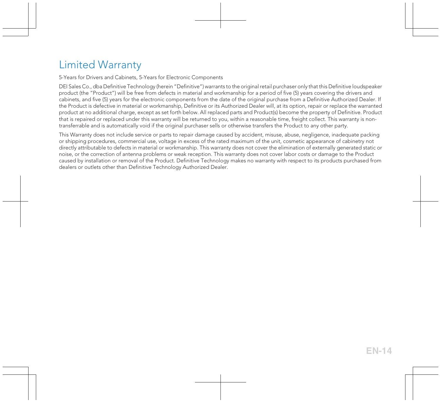### Limited Warranty

5-Years for Drivers and Cabinets, 5-Years for Electronic Components

DEI Sales Co., dba Definitive Technology (herein "Definitive") warrants to the original retail purchaser only that this Definitive loudspeaker product (the "Product") will be free from defects in material and workmanship for a period of five (5) years covering the drivers and cabinets, and five (5) years for the electronic components from the date of the original purchase from a Definitive Authorized Dealer. If the Product is defective in material or workmanship, Definitive or its Authorized Dealer will, at its option, repair or replace the warranted product at no additional charge, except as set forth below. All replaced parts and Product(s) become the property of Definitive. Product that is repaired or replaced under this warranty will be returned to you, within a reasonable time, freight collect. This warranty is nontransferrable and is automatically void if the original purchaser sells or otherwise transfers the Product to any other party.

This Warranty does not include service or parts to repair damage caused by accident, misuse, abuse, negligence, inadequate packing or shipping procedures, commercial use, voltage in excess of the rated maximum of the unit, cosmetic appearance of cabinetry not directly attributable to defects in material or workmanship. This warranty does not cover the elimination of externally generated static or noise, or the correction of antenna problems or weak reception. This warranty does not cover labor costs or damage to the Product caused by installation or removal of the Product. Definitive Technology makes no warranty with respect to its products purchased from dealers or outlets other than Definitive Technology Authorized Dealer.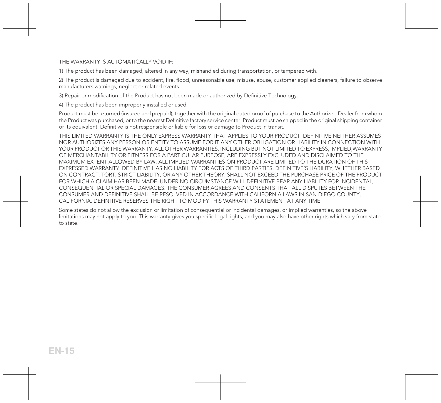THE WARRANTY IS AUTOMATICALLY VOID IF-

1) The product has been damaged, altered in any way, mishandled during transportation, or tampered with.

2) The product is damaged due to accident, fire, flood, unreasonable use, misuse, abuse, customer applied cleaners, failure to observe manufacturers warnings, neglect or related events.

3) Repair or modification of the Product has not been made or authorized by Definitive Technology.

4) The product has been improperly installed or used.

Product must be returned (insured and prepaid), together with the original dated proof of purchase to the Authorized Dealer from whom the Product was purchased, or to the nearest Definitive factory service center. Product must be shipped in the original shipping container or its equivalent. Definitive is not responsible or liable for loss or damage to Product in transit.

THIS LIMITED WARRANTY IS THE ONLY EXPRESS WARRANTY THAT APPLIES TO YOUR PRODUCT. DEFINITIVE NEITHER ASSUMES NOR AUTHORIZES ANY PERSON OR ENTITY TO ASSUME FOR IT ANY OTHER OBLIGATION OR LIABILITY IN CONNECTION WITH YOUR PRODUCT OR THIS WARRANTY. ALL OTHER WARRANTIES, INCLUDING BUT NOT LIMITED TO EXPRESS, IMPLIED,WARRANTY OF MERCHANTABILITY OR FITNESS FOR A PARTICULAR PURPOSE, ARE EXPRESSLY EXCLUDED AND DISCLAIMED TO THE MAXIMUM EXTENT ALLOWED BY LAW. ALL IMPLIED WARRANTIES ON PRODUCT ARE LIMITED TO THE DURATION OF THIS EXPRESSED WARRANTY. DEFINITIVE HAS NO LIABILITY FOR ACTS OF THIRD PARTIES. DEFINITIVE'S LIABILITY, WHETHER BASED ON CONTRACT, TORT, STRICT LIABILITY, OR ANY OTHER THEORY, SHALL NOT EXCEED THE PURCHASE PRICE OF THE PRODUCT FOR WHICH A CLAIM HAS BEEN MADE. UNDER NO CIRCUMSTANCE WILL DEFINITIVE BEAR ANY LIABILITY FOR INCIDENTAL, CONSEQUENTIAL OR SPECIAL DAMAGES. THE CONSUMER AGREES AND CONSENTS THAT ALL DISPUTES BETWEEN THE CONSUMER AND DEFINITIVE SHALL BE RESOLVED IN ACCORDANCE WITH CALIFORNIA LAWS IN SAN DIEGO COUNTY, CALIFORNIA. DEFINITIVE RESERVES THE RIGHT TO MODIFY THIS WARRANTY STATEMENT AT ANY TIME.

Some states do not allow the exclusion or limitation of consequential or incidental damages, or implied warranties, so the above limitations may not apply to you. This warranty gives you specific legal rights, and you may also have other rights which vary from state to state.